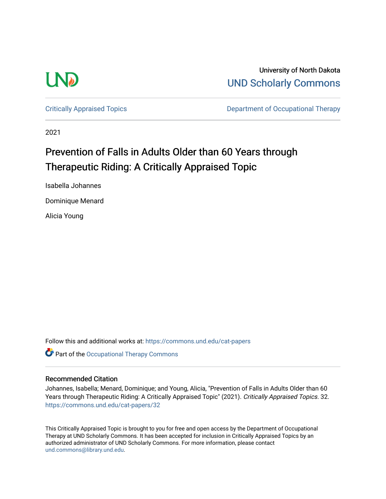

University of North Dakota [UND Scholarly Commons](https://commons.und.edu/) 

[Critically Appraised Topics](https://commons.und.edu/cat-papers) **Department of Occupational Therapy** 

2021

# Prevention of Falls in Adults Older than 60 Years through Therapeutic Riding: A Critically Appraised Topic

Isabella Johannes

Dominique Menard

Alicia Young

Follow this and additional works at: [https://commons.und.edu/cat-papers](https://commons.und.edu/cat-papers?utm_source=commons.und.edu%2Fcat-papers%2F32&utm_medium=PDF&utm_campaign=PDFCoverPages) 

Part of the [Occupational Therapy Commons](http://network.bepress.com/hgg/discipline/752?utm_source=commons.und.edu%2Fcat-papers%2F32&utm_medium=PDF&utm_campaign=PDFCoverPages) 

#### Recommended Citation

Johannes, Isabella; Menard, Dominique; and Young, Alicia, "Prevention of Falls in Adults Older than 60 Years through Therapeutic Riding: A Critically Appraised Topic" (2021). Critically Appraised Topics. 32. [https://commons.und.edu/cat-papers/32](https://commons.und.edu/cat-papers/32?utm_source=commons.und.edu%2Fcat-papers%2F32&utm_medium=PDF&utm_campaign=PDFCoverPages)

This Critically Appraised Topic is brought to you for free and open access by the Department of Occupational Therapy at UND Scholarly Commons. It has been accepted for inclusion in Critically Appraised Topics by an authorized administrator of UND Scholarly Commons. For more information, please contact [und.commons@library.und.edu](mailto:und.commons@library.und.edu).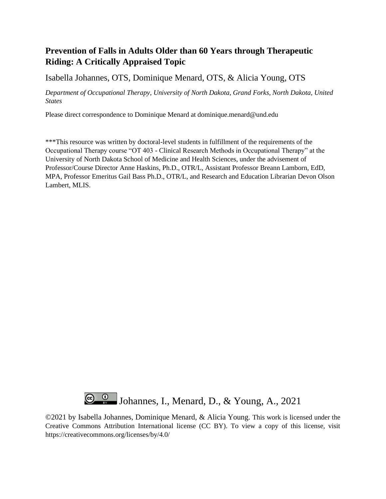## **Prevention of Falls in Adults Older than 60 Years through Therapeutic Riding: A Critically Appraised Topic**

Isabella Johannes, OTS, Dominique Menard, OTS, & Alicia Young, OTS

*Department of Occupational Therapy, University of North Dakota, Grand Forks, North Dakota, United States*

Please direct correspondence to Dominique Menard at dominique.menard@und.edu

\*\*\*This resource was written by doctoral-level students in fulfillment of the requirements of the Occupational Therapy course "OT 403 - Clinical Research Methods in Occupational Therapy" at the University of North Dakota School of Medicine and Health Sciences, under the advisement of Professor/Course Director Anne Haskins, Ph.D., OTR/L, Assistant Professor Breann Lamborn, EdD, MPA, Professor Emeritus Gail Bass Ph.D., OTR/L, and Research and Education Librarian Devon Olson Lambert, MLIS.



©2021 by Isabella Johannes, Dominique Menard, & Alicia Young. This work is licensed under the Creative Commons Attribution International license (CC BY). To view a copy of this license, visit https://creativecommons.org/licenses/by/4.0/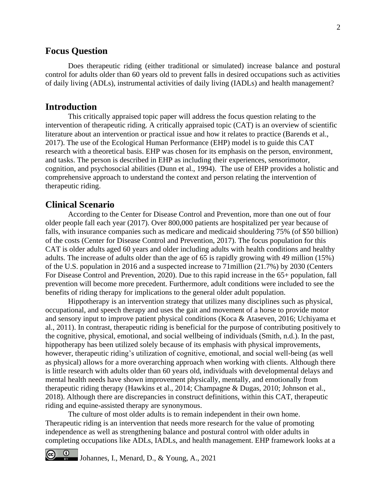### **Focus Question**

Does therapeutic riding (either traditional or simulated) increase balance and postural control for adults older than 60 years old to prevent falls in desired occupations such as activities of daily living (ADLs), instrumental activities of daily living (IADLs) and health management?

#### **Introduction**

This critically appraised topic paper will address the focus question relating to the intervention of therapeutic riding. A critically appraised topic (CAT) is an overview of scientific literature about an intervention or practical issue and how it relates to practice (Barends et al., 2017). The use of the Ecological Human Performance (EHP) model is to guide this CAT research with a theoretical basis. EHP was chosen for its emphasis on the person, environment, and tasks. The person is described in EHP as including their experiences, sensorimotor, cognition, and psychosocial abilities (Dunn et al., 1994). The use of EHP provides a holistic and comprehensive approach to understand the context and person relating the intervention of therapeutic riding.

### **Clinical Scenario**

 $\frac{0}{\sqrt{2}}$ 

According to the Center for Disease Control and Prevention, more than one out of four older people fall each year (2017). Over 800,000 patients are hospitalized per year because of falls, with insurance companies such as medicare and medicaid shouldering 75% (of \$50 billion) of the costs (Center for Disease Control and Prevention, 2017). The focus population for this CAT is older adults aged 60 years and older including adults with health conditions and healthy adults. The increase of adults older than the age of 65 is rapidly growing with 49 million (15%) of the U.S. population in 2016 and a suspected increase to 71million (21.7%) by 2030 (Centers For Disease Control and Prevention, 2020). Due to this rapid increase in the 65+ population, fall prevention will become more precedent. Furthermore, adult conditions were included to see the benefits of riding therapy for implications to the general older adult population.

Hippotherapy is an intervention strategy that utilizes many disciplines such as physical, occupational, and speech therapy and uses the gait and movement of a horse to provide motor and sensory input to improve patient physical conditions (Koca & Ataseven, 2016; Uchiyama et al., 2011). In contrast, therapeutic riding is beneficial for the purpose of contributing positively to the cognitive, physical, emotional, and social wellbeing of individuals (Smith, n.d.). In the past, hippotherapy has been utilized solely because of its emphasis with physical improvements, however, therapeutic riding's utilization of cognitive, emotional, and social well-being (as well as physical) allows for a more overarching approach when working with clients. Although there is little research with adults older than 60 years old, individuals with developmental delays and mental health needs have shown improvement physically, mentally, and emotionally from therapeutic riding therapy (Hawkins et al., 2014; Champagne & Dugas, 2010; Johnson et al., 2018). Although there are discrepancies in construct definitions, within this CAT, therapeutic riding and equine-assisted therapy are synonymous.

The culture of most older adults is to remain independent in their own home. Therapeutic riding is an intervention that needs more research for the value of promoting independence as well as strengthening balance and postural control with older adults in completing occupations like ADLs, IADLs, and health management. EHP framework looks at a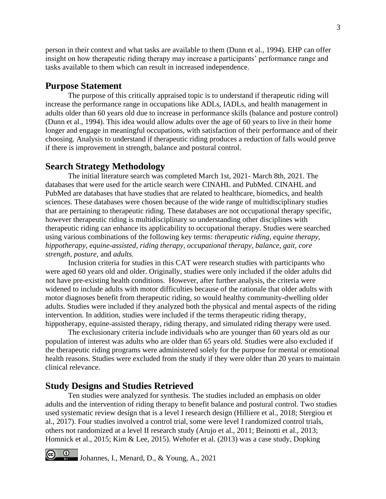person in their context and what tasks are available to them (Dunn et al., 1994). EHP can offer insight on how therapeutic riding therapy may increase a participants' performance range and tasks available to them which can result in increased independence.

#### **Purpose Statement**

The purpose of this critically appraised topic is to understand if therapeutic riding will increase the performance range in occupations like ADLs, IADLs, and health management in adults older than 60 years old due to increase in performance skills (balance and posture control) (Dunn et al., 1994). This idea would allow adults over the age of 60 years to live in their home longer and engage in meaningful occupations, with satisfaction of their performance and of their choosing. Analysis to understand if therapeutic riding produces a reduction of falls would prove if there is improvement in strength, balance and postural control.

### **Search Strategy Methodology**

The initial literature search was completed March 1st, 2021- March 8th, 2021. The databases that were used for the article search were CINAHL and PubMed. CINAHL and PubMed are databases that have studies that are related to healthcare, biomedics, and health sciences. These databases were chosen because of the wide range of multidisciplinary studies that are pertaining to therapeutic riding. These databases are not occupational therapy specific, however therapeutic riding is multidisciplinary so understanding other disciplines with therapeutic riding can enhance its applicability to occupational therapy. Studies were searched using various combinations of the following key terms: *therapeutic riding, equine therapy, hippotherapy, equine-assisted, riding therapy, occupational therapy, balance, gait, core strength, posture,* and *adults.*

Inclusion criteria for studies in this CAT were research studies with participants who were aged 60 years old and older. Originally, studies were only included if the older adults did not have pre-existing health conditions. However, after further analysis, the criteria were widened to include adults with motor difficulties because of the rationale that older adults with motor diagnoses benefit from therapeutic riding, so would healthy community-dwelling older adults. Studies were included if they analyzed both the physical and mental aspects of the riding intervention. In addition, studies were included if the terms therapeutic riding therapy, hippotherapy, equine-assisted therapy, riding therapy, and simulated riding therapy were used.

The exclusionary criteria include individuals who are younger than 60 years old as our population of interest was adults who are older than 65 years old. Studies were also excluded if the therapeutic riding programs were administered solely for the purpose for mental or emotional health reasons. Studies were excluded from the study if they were older than 20 years to maintain clinical relevance.

### **Study Designs and Studies Retrieved**

Ten studies were analyzed for synthesis. The studies included an emphasis on older adults and the intervention of riding therapy to benefit balance and postural control. Two studies used systematic review design that is a level I research design (Hilliere et al., 2018; Stergiou et al., 2017). Four studies involved a control trial, some were level I randomized control trials, others not randomized at a level II research study (Arujo et al., 2011; Beinotti et al., 2013; Homnick et al., 2015; Kim & Lee, 2015). Wehofer et al. (2013) was a case study, Dopking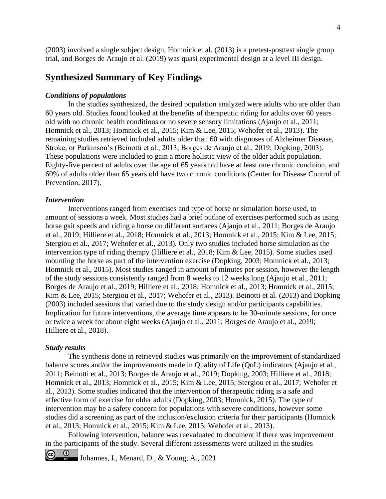(2003) involved a single subject design, Homnick et al. (2013) is a pretest-posttest single group trial, and Borges de Araujo et al. (2019) was quasi experimental design at a level III design.

### **Synthesized Summary of Key Findings**

#### *Conditions of populations*

In the studies synthesized, the desired population analyzed were adults who are older than 60 years old. Studies found looked at the benefits of therapeutic riding for adults over 60 years old with no chronic health conditions or no severe sensory limitations (Ajaujo et al., 2011; Homnick et al., 2013; Homnick et al., 2015; Kim & Lee, 2015; Wehofer et al., 2013). The remaining studies retrieved included adults older than 60 with diagnoses of Alzheimer Disease, Stroke, or Parkinson's (Beinotti et al., 2013; Borges de Araujo et al., 2019; Dopking, 2003). These populations were included to gain a more holistic view of the older adult population. Eighty-five percent of adults over the age of 65 years old have at least one chronic condition, and 60% of adults older than 65 years old have two chronic conditions (Center for Disease Control of Prevention, 2017).

#### *Intervention*

Interventions ranged from exercises and type of horse or simulation horse used, to amount of sessions a week. Most studies had a brief outline of exercises performed such as using horse gait speeds and riding a horse on different surfaces (Ajaujo et al., 2011; Borges de Araujo et al., 2019; Hilliere et al., 2018; Homnick et al., 2013; Homnick et al., 2015; Kim & Lee, 2015; Stergiou et al., 2017; Wehofer et al., 2013). Only two studies included horse simulation as the intervention type of riding therapy (Hilliere et al., 2018; Kim & Lee, 2015). Some studies used mounting the horse as part of the intervention exercise (Dopking, 2003; Homnick et al., 2013; Homnick et al., 2015). Most studies ranged in amount of minutes per session, however the length of the study sessions consistently ranged from 8 weeks to 12 weeks long (Ajaujo et al., 2011; Borges de Araujo et al., 2019; Hilliere et al., 2018; Homnick et al., 2013; Homnick et al., 2015; Kim & Lee, 2015; Stergiou et al., 2017; Wehofer et al., 2013). Beinotti et al. (2013) and Dopking (2003) included sessions that varied due to the study design and/or participants capabilities. Implication for future interventions, the average time appears to be 30-minute sessions, for once or twice a week for about eight weeks (Ajaujo et al., 2011; Borges de Araujo et al., 2019; Hilliere et al., 2018).

#### *Study results*

The synthesis done in retrieved studies was primarily on the improvement of standardized balance scores and/or the improvements made in Quality of Life (QoL) indicators (Ajaujo et al., 2011; Beinotti et al., 2013; Borges de Araujo et al., 2019; Dopking, 2003; Hilliere et al., 2018; Homnick et al., 2013; Homnick et al., 2015; Kim & Lee, 2015; Stergiou et al., 2017; Wehofer et al., 2013). Some studies indicated that the intervention of therapeutic riding is a safe and effective form of exercise for older adults (Dopking, 2003; Homnick, 2015). The type of intervention may be a safety concern for populations with severe conditions, however some studies did a screening as part of the inclusion/exclusion criteria for their participants (Homnick et al., 2013; Homnick et al., 2015; Kim & Lee, 2015; Wehofer et al., 2013).

Following intervention, balance was reevaluated to document if there was improvement in the participants of the study. Several different assessments were utilized in the studies

 $\circledcirc$ Johannes, I., Menard, D., & Young, A., 2021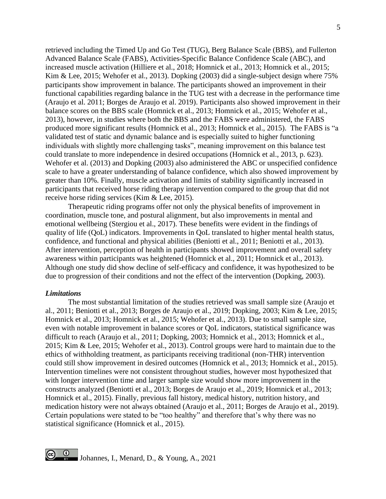retrieved including the Timed Up and Go Test (TUG), Berg Balance Scale (BBS), and Fullerton Advanced Balance Scale (FABS), Activities-Specific Balance Confidence Scale (ABC), and increased muscle activation (Hilliere et al., 2018; Homnick et al., 2013; Homnick et al., 2015; Kim & Lee, 2015; Wehofer et al., 2013). Dopking (2003) did a single-subject design where 75% participants show improvement in balance. The participants showed an improvement in their functional capabilities regarding balance in the TUG test with a decrease in the performance time (Araujo et al. 2011; Borges de Araujo et al. 2019). Participants also showed improvement in their balance scores on the BBS scale (Homnick et al., 2013; Homnick et al., 2015; Wehofer et al., 2013), however, in studies where both the BBS and the FABS were administered, the FABS produced more significant results (Homnick et al., 2013; Homnick et al., 2015). The FABS is "a validated test of static and dynamic balance and is especially suited to higher functioning individuals with slightly more challenging tasks", meaning improvement on this balance test could translate to more independence in desired occupations (Homnick et al., 2013, p. 623). Wehofer et al. (2013) and Dopking (2003) also administered the ABC or unspecified confidence scale to have a greater understanding of balance confidence, which also showed improvement by greater than 10%. Finally, muscle activation and limits of stability significantly increased in participants that received horse riding therapy intervention compared to the group that did not receive horse riding services (Kim & Lee, 2015).

Therapeutic riding programs offer not only the physical benefits of improvement in coordination, muscle tone, and postural alignment, but also improvements in mental and emotional wellbeing (Stergiou et al., 2017). These benefits were evident in the findings of quality of life (QoL) indicators. Improvements in QoL translated to higher mental health status, confidence, and functional and physical abilities (Beniotti et al., 2011; Beniotti et al., 2013). After intervention, perception of health in participants showed improvement and overall safety awareness within participants was heightened (Homnick et al., 2011; Homnick et al., 2013). Although one study did show decline of self-efficacy and confidence, it was hypothesized to be due to progression of their conditions and not the effect of the intervention (Dopking, 2003).

#### *Limitations*

The most substantial limitation of the studies retrieved was small sample size (Araujo et al., 2011; Beniotti et al., 2013; Borges de Araujo et al., 2019; Dopking, 2003; Kim & Lee, 2015; Homnick et al., 2013; Homnick et al., 2015; Wehofer et al., 2013). Due to small sample size, even with notable improvement in balance scores or QoL indicators, statistical significance was difficult to reach (Araujo et al., 2011; Dopking, 2003; Homnick et al., 2013; Homnick et al., 2015; Kim & Lee, 2015; Wehofer et al., 2013). Control groups were hard to maintain due to the ethics of withholding treatment, as participants receiving traditional (non-THR) intervention could still show improvement in desired outcomes (Homnick et al., 2013; Homnick et al., 2015). Intervention timelines were not consistent throughout studies, however most hypothesized that with longer intervention time and larger sample size would show more improvement in the constructs analyzed (Beniotti et al., 2013; Borges de Araujo et al., 2019; Homnick et al., 2013; Homnick et al., 2015). Finally, previous fall history, medical history, nutrition history, and medication history were not always obtained (Araujo et al., 2011; Borges de Araujo et al., 2019). Certain populations were stated to be "too healthy" and therefore that's why there was no statistical significance (Homnick et al., 2015).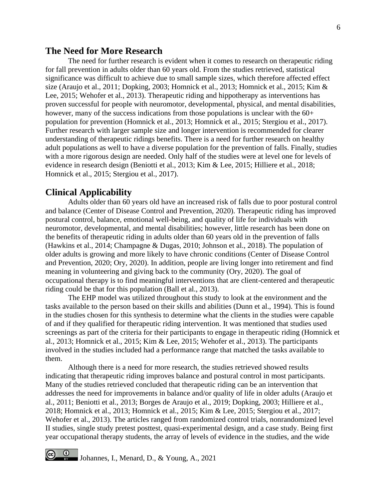### **The Need for More Research**

The need for further research is evident when it comes to research on therapeutic riding for fall prevention in adults older than 60 years old. From the studies retrieved, statistical significance was difficult to achieve due to small sample sizes, which therefore affected effect size (Araujo et al., 2011; Dopking, 2003; Homnick et al., 2013; Homnick et al., 2015; Kim & Lee, 2015; Wehofer et al., 2013). Therapeutic riding and hippotherapy as interventions has proven successful for people with neuromotor, developmental, physical, and mental disabilities, however, many of the success indications from those populations is unclear with the 60+ population for prevention (Homnick et al., 2013; Homnick et al., 2015; Stergiou et al., 2017). Further research with larger sample size and longer intervention is recommended for clearer understanding of therapeutic ridings benefits. There is a need for further research on healthy adult populations as well to have a diverse population for the prevention of falls. Finally, studies with a more rigorous design are needed. Only half of the studies were at level one for levels of evidence in research design (Beniotti et al., 2013; Kim & Lee, 2015; Hilliere et al., 2018; Homnick et al., 2015; Stergiou et al., 2017).

#### **Clinical Applicability**

Adults older than 60 years old have an increased risk of falls due to poor postural control and balance (Center of Disease Control and Prevention, 2020). Therapeutic riding has improved postural control, balance, emotional well-being, and quality of life for individuals with neuromotor, developmental, and mental disabilities; however, little research has been done on the benefits of therapeutic riding in adults older than 60 years old in the prevention of falls (Hawkins et al., 2014; Champagne & Dugas, 2010; Johnson et al., 2018). The population of older adults is growing and more likely to have chronic conditions (Center of Disease Control and Prevention, 2020; Ory, 2020). In addition, people are living longer into retirement and find meaning in volunteering and giving back to the community (Ory, 2020). The goal of occupational therapy is to find meaningful interventions that are client-centered and therapeutic riding could be that for this population (Ball et al., 2013).

The EHP model was utilized throughout this study to look at the environment and the tasks available to the person based on their skills and abilities (Dunn et al., 1994). This is found in the studies chosen for this synthesis to determine what the clients in the studies were capable of and if they qualified for therapeutic riding intervention. It was mentioned that studies used screenings as part of the criteria for their participants to engage in therapeutic riding (Homnick et al., 2013; Homnick et al., 2015; Kim & Lee, 2015; Wehofer et al., 2013). The participants involved in the studies included had a performance range that matched the tasks available to them.

Although there is a need for more research, the studies retrieved showed results indicating that therapeutic riding improves balance and postural control in most participants. Many of the studies retrieved concluded that therapeutic riding can be an intervention that addresses the need for improvements in balance and/or quality of life in older adults (Araujo et al., 2011; Beniotti et al., 2013; Borges de Araujo et al., 2019; Dopking, 2003; Hilliere et al., 2018; Homnick et al., 2013; Homnick et al., 2015; Kim & Lee, 2015; Stergiou et al., 2017; Wehofer et al., 2013). The articles ranged from randomized control trials, nonrandomized level II studies, single study pretest posttest, quasi-experimental design, and a case study. Being first year occupational therapy students, the array of levels of evidence in the studies, and the wide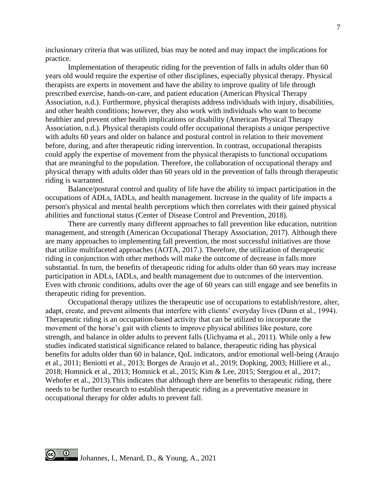inclusionary criteria that was utilized, bias may be noted and may impact the implications for practice.

Implementation of therapeutic riding for the prevention of falls in adults older than 60 years old would require the expertise of other disciplines, especially physical therapy. Physical therapists are experts in movement and have the ability to improve quality of life through prescribed exercise, hands-on-care, and patient education (American Physical Therapy Association, n.d.). Furthermore, physical therapists address individuals with injury, disabilities, and other health conditions; however, they also work with individuals who want to become healthier and prevent other health implications or disability (American Physical Therapy Association, n.d.). Physical therapists could offer occupational therapists a unique perspective with adults 60 years and older on balance and postural control in relation to their movement before, during, and after therapeutic riding intervention. In contrast, occupational therapists could apply the expertise of movement from the physical therapists to functional occupations that are meaningful to the population. Therefore, the collaboration of occupational therapy and physical therapy with adults older than 60 years old in the prevention of falls through therapeutic riding is warranted.

Balance/postural control and quality of life have the ability to impact participation in the occupations of ADLs, IADLs, and health management. Increase in the quality of life impacts a person's physical and mental health perceptions which then correlates with their gained physical abilities and functional status (Center of Disease Control and Prevention, 2018).

There are currently many different approaches to fall prevention like education, nutrition management, and strength (American Occupational Therapy Association, 2017). Although there are many approaches to implementing fall prevention, the most successful initiatives are those that utilize multifaceted approaches (AOTA, 2017.). Therefore, the utilization of therapeutic riding in conjunction with other methods will make the outcome of decrease in falls more substantial. In turn, the benefits of therapeutic riding for adults older than 60 years may increase participation in ADLs, IADLs, and health management due to outcomes of the intervention. Even with chronic conditions, adults over the age of 60 years can still engage and see benefits in therapeutic riding for prevention.

Occupational therapy utilizes the therapeutic use of occupations to establish/restore, alter, adapt, create, and prevent ailments that interfere with clients' everyday lives (Dunn et al., 1994). Therapeutic riding is an occupation-based activity that can be utilized to incorporate the movement of the horse's gait with clients to improve physical abilities like posture, core strength, and balance in older adults to prevent falls (Uichyama et al., 2011). While only a few studies indicated statistical significance related to balance, therapeutic riding has physical benefits for adults older than 60 in balance, QoL indicators, and/or emotional well-being (Araujo et al., 2011; Beniotti et al., 2013; Borges de Araujo et al., 2019; Dopking, 2003; Hilliere et al., 2018; Homnick et al., 2013; Homnick et al., 2015; Kim & Lee, 2015; Stergiou et al., 2017; Wehofer et al., 2013).This indicates that although there are benefits to therapeutic riding, there needs to be further research to establish therapeutic riding as a preventative measure in occupational therapy for older adults to prevent fall.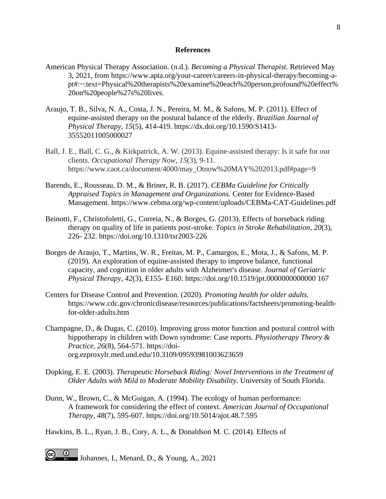#### **References**

- American Physical Therapy Association. (n.d.). *Becoming a Physical Therapist.* Retrieved May 3, 2021, from https://www.apta.org/your-career/careers-in-physical-therapy/becoming-apt#:~:text=Physical%20therapists%20examine%20each%20person,profound%20effect% 20on%20people%27s%20lives.
- Araujo, T. B., Silva, N. A., Costa, J. N., Pereira, M. M., & Safons, M. P. (2011). Effect of equine-assisted therapy on the postural balance of the elderly. *Brazilian Journal of Physical Therapy, 15*(5), 414-419. https://dx.doi.org/10.1590/S1413- 35552011005000027
- Ball, J. E., Ball, C. G., & Kirkpatrick, A. W. (2013). Equine-assisted therapy: Is it safe for our clients. *Occupational Therapy Now*, *15*(3), 9-11. https://www.caot.ca/document/4000/may\_Otnow%20MAY%202013.pdf#page=9
- Barends, E., Rousseau, D. M., & Briner, R. B. (2017). *CEBMa Guideline for Critically Appraised Topics in Management and Organizations.* Center for Evidence-Based Management. https://www.cebma.org/wp-content/uploads/CEBMa-CAT-Guidelines.pdf
- Beinotti, F., Christofoletti, G., Correia, N., & Borges, G. (2013). Effects of horseback riding therapy on quality of life in patients post-stroke. *Topics in Stroke Rehabilitation*, *20*(3), 226- 232. https://doi.org/10.1310/tsr2003-226
- Borges de Araujo, T., Martins, W. R., Freitas, M. P., Camargos, E., Mota, J., & Safons, M. P. (2019). An exploration of equine-assisted therapy to improve balance, functional capacity, and cognition in older adults with Alzheimer's disease. *Journal of Geriatric Physical Therapy*, *42*(3), E155- E160. https://doi.org/10.1519/jpt.0000000000000 167
- Centers for Disease Control and Prevention. (2020). *Promoting health for older adults.*  https://www.cdc.gov/chronicdisease/resources/publications/factsheets/promoting-healthfor-older-adults.htm
- Champagne, D., & Dugas, C. (2010). Improving gross motor function and postural control with hippotherapy in children with Down syndrome: Case reports. *Physiotherapy Theory & Practice, 26*(8), 564-571. https://doiorg.ezproxylr.med.und.edu/10.3109/09593981003623659
- Dopking, E. E. (2003). *Therapeutic Horseback Riding: Novel Interventions in the Treatment of Older Adults with Mild to Moderate Mobility Disability.* University of South Florida.
- Dunn, W., Brown, C., & McGuigan, A. (1994). The ecology of human performance: A framework for considering the effect of context. *American Journal of Occupational Therapy*, *48*(7), 595-607. https://doi.org/10.5014/ajot.48.7.595

Hawkins, B. L., Ryan, J. B., Cory, A. L., & Donaldson M. C. (2014). Effects of

Johannes, I., Menard, D., & Young, A., 2021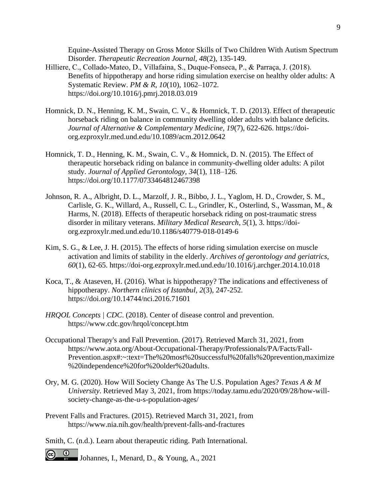Equine-Assisted Therapy on Gross Motor Skills of Two Children With Autism Spectrum Disorder. *Therapeutic Recreation Journal, 48*(2), 135-149.

- Hilliere, C., Collado‐Mateo, D., Villafaina, S., Duque‐Fonseca, P., & Parraça, J. (2018). Benefits of hippotherapy and horse riding simulation exercise on healthy older adults: A Systematic Review. *PM & R*, *10*(10), 1062–1072. https://doi.org/10.1016/j.pmrj.2018.03.019
- Homnick, D. N., Henning, K. M., Swain, C. V., & Homnick, T. D. (2013). Effect of therapeutic horseback riding on balance in community dwelling older adults with balance deficits. *Journal of Alternative & Complementary Medicine, 19*(7), 622-626. https://doiorg.ezproxylr.med.und.edu/10.1089/acm.2012.0642
- Homnick, T. D., Henning, K. M., Swain, C. V., & Homnick, D. N. (2015). The Effect of therapeutic horseback riding on balance in community-dwelling older adults: A pilot study. *Journal of Applied Gerontology*, *34*(1), 118–126. https://doi.org/10.1177/0733464812467398
- Johnson, R. A., Albright, D. L., Marzolf, J. R., Bibbo, J. L., Yaglom, H. D., Crowder, S. M., Carlisle, G. K., Willard, A., Russell, C. L., Grindler, K., Osterlind, S., Wassman, M., & Harms, N. (2018). Effects of therapeutic horseback riding on post-traumatic stress disorder in military veterans. *Military Medical Research*, *5*(1), 3. https://doiorg.ezproxylr.med.und.edu/10.1186/s40779-018-0149-6
- Kim, S. G., & Lee, J. H. (2015). The effects of horse riding simulation exercise on muscle activation and limits of stability in the elderly. *Archives of gerontology and geriatrics, 60*(1), 62-65. https://doi-org.ezproxylr.med.und.edu/10.1016/j.archger.2014.10.018
- Koca, T., & Ataseven, H. (2016). What is hippotherapy? The indications and effectiveness of hippotherapy. *Northern clinics of Istanbul*, *2*(3), 247-252. https://doi.org/10.14744/nci.2016.71601
- *HRQOL Concepts | CDC*. (2018). Center of disease control and prevention. https://www.cdc.gov/hrqol/concept.htm
- Occupational Therapy's and Fall Prevention. (2017). Retrieved March 31, 2021, from https://www.aota.org/About-Occupational-Therapy/Professionals/PA/Facts/Fall-Prevention.aspx#:~:text=The%20most%20successful%20falls%20prevention,maximize %20independence%20for%20older%20adults.
- Ory, M. G. (2020). How Will Society Change As The U.S. Population Ages? *Texas A & M University*. Retrieved May 3, 2021, from https://today.tamu.edu/2020/09/28/how-willsociety-change-as-the-u-s-population-ages/
- Prevent Falls and Fractures. (2015). Retrieved March 31, 2021, from https://www.nia.nih.gov/health/prevent-falls-and-fractures
- Smith, C. (n.d.). Learn about therapeutic riding. Path International.
- **C D** Johannes, I., Menard, D., & Young, A., 2021